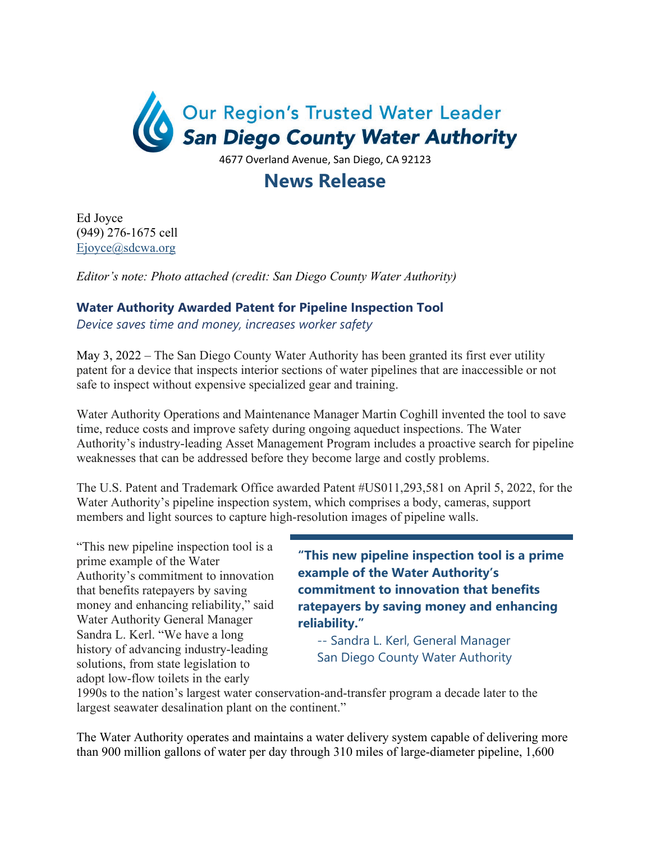

## **News Release**

Ed Joyce (949) 276-1675 cell [Ejoyce@sdcwa.org](mailto:Ejoyce@sdcwa.org) 

*Editor's note: Photo attached (credit: San Diego County Water Authority)* 

## **Water Authority Awarded Patent for Pipeline Inspection Tool**

*Device saves time and money, increases worker safety*

May 3, 2022 – The San Diego County Water Authority has been granted its first ever utility patent for a device that inspects interior sections of water pipelines that are inaccessible or not safe to inspect without expensive specialized gear and training.

Water Authority Operations and Maintenance Manager Martin Coghill invented the tool to save time, reduce costs and improve safety during ongoing aqueduct inspections. The Water Authority's industry-leading Asset Management Program includes a proactive search for pipeline weaknesses that can be addressed before they become large and costly problems.

The U.S. Patent and Trademark Office awarded Patent #US011,293,581 on April 5, 2022, for the Water Authority's pipeline inspection system, which comprises a body, cameras, support members and light sources to capture high-resolution images of pipeline walls.

"This new pipeline inspection tool is a prime example of the Water Authority's commitment to innovation that benefits ratepayers by saving money and enhancing reliability," said Water Authority General Manager Sandra L. Kerl. "We have a long history of advancing industry-leading solutions, from state legislation to adopt low-flow toilets in the early

**"This new pipeline inspection tool is a prime example of the Water Authority's commitment to innovation that benefits ratepayers by saving money and enhancing reliability."** 

-- Sandra L. Kerl, General Manager San Diego County Water Authority

1990s to the nation's largest water conservation-and-transfer program a decade later to the largest seawater desalination plant on the continent."

The Water Authority operates and maintains a water delivery system capable of delivering more than 900 million gallons of water per day through 310 miles of large-diameter pipeline, 1,600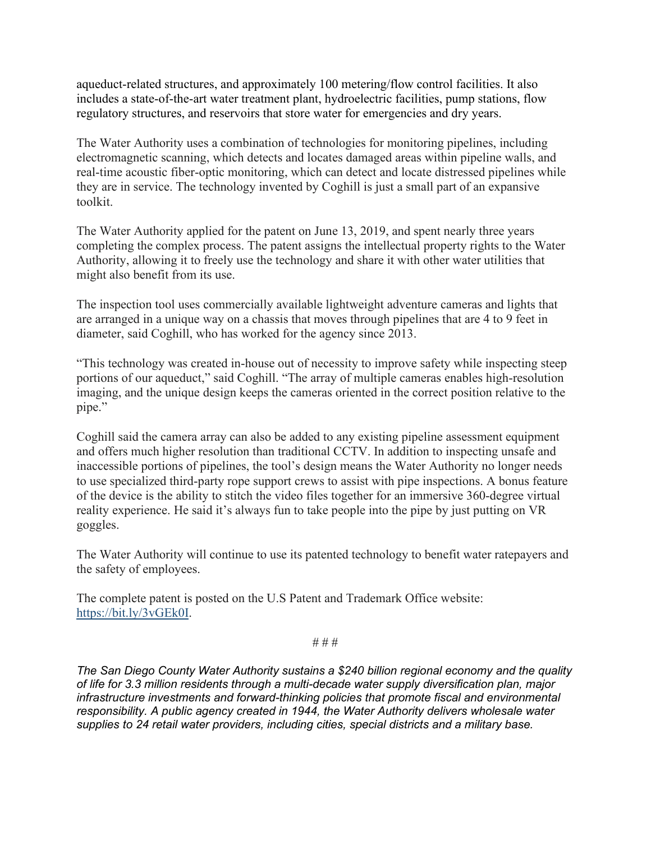aqueduct-related structures, and approximately 100 metering/flow control facilities. It also includes a state-of-the-art water treatment plant, hydroelectric facilities, pump stations, flow regulatory structures, and reservoirs that store water for emergencies and dry years.

The Water Authority uses a combination of technologies for monitoring pipelines, including electromagnetic scanning, which detects and locates damaged areas within pipeline walls, and real-time acoustic fiber-optic monitoring, which can detect and locate distressed pipelines while they are in service. The technology invented by Coghill is just a small part of an expansive toolkit.

The Water Authority applied for the patent on June 13, 2019, and spent nearly three years completing the complex process. The patent assigns the intellectual property rights to the Water Authority, allowing it to freely use the technology and share it with other water utilities that might also benefit from its use.

The inspection tool uses commercially available lightweight adventure cameras and lights that are arranged in a unique way on a chassis that moves through pipelines that are 4 to 9 feet in diameter, said Coghill, who has worked for the agency since 2013.

"This technology was created in-house out of necessity to improve safety while inspecting steep portions of our aqueduct," said Coghill. "The array of multiple cameras enables high-resolution imaging, and the unique design keeps the cameras oriented in the correct position relative to the pipe."

Coghill said the camera array can also be added to any existing pipeline assessment equipment and offers much higher resolution than traditional CCTV. In addition to inspecting unsafe and inaccessible portions of pipelines, the tool's design means the Water Authority no longer needs to use specialized third-party rope support crews to assist with pipe inspections. A bonus feature of the device is the ability to stitch the video files together for an immersive 360-degree virtual reality experience. He said it's always fun to take people into the pipe by just putting on VR goggles.

The Water Authority will continue to use its patented technology to benefit water ratepayers and the safety of employees.

The complete patent is posted on the U.S Patent and Trademark Office website: [https://bit.ly/3vGEk0I.](https://bit.ly/3vGEk0I)

# # #

*The San Diego County Water Authority sustains a \$240 billion regional economy and the quality of life for 3.3 million residents through a multi-decade water supply diversification plan, major infrastructure investments and forward-thinking policies that promote fiscal and environmental responsibility. A public agency created in 1944, the Water Authority delivers wholesale water supplies to 24 retail water providers, including cities, special districts and a military base.*